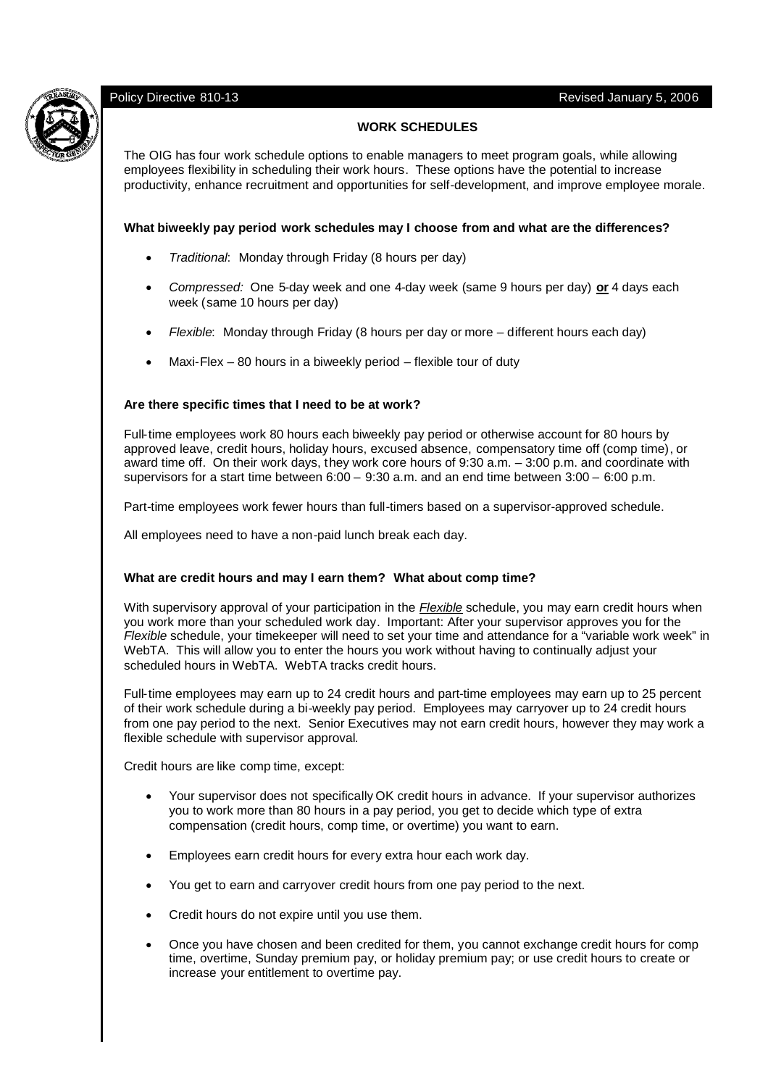# Policy Directive 810-13 Revised January 5, 2006

# **WORK SCHEDULES**

The OIG has four work schedule options to enable managers to meet program goals, while allowing employees flexibility in scheduling their work hours. These options have the potential to increase productivity, enhance recruitment and opportunities for self-development, and improve employee morale.

# **What biweekly pay period work schedules may I choose from and what are the differences?**

- *Traditional*: Monday through Friday (8 hours per day)
- *Compressed:* One 5-day week and one 4-day week (same 9 hours per day) **or** 4 days each week (same 10 hours per day)
- *Flexible*: Monday through Friday (8 hours per day or more different hours each day)
- Maxi-Flex 80 hours in a biweekly period flexible tour of duty

#### **Are there specific times that I need to be at work?**

Full-time employees work 80 hours each biweekly pay period or otherwise account for 80 hours by approved leave, credit hours, holiday hours, excused absence, compensatory time off (comp time), or award time off. On their work days, they work core hours of 9:30 a.m. – 3:00 p.m. and coordinate with supervisors for a start time between  $6:00 - 9:30$  a.m. and an end time between  $3:00 - 6:00$  p.m.

Part-time employees work fewer hours than full-timers based on a supervisor-approved schedule.

All employees need to have a non-paid lunch break each day.

# **What are credit hours and may I earn them? What about comp time?**

With supervisory approval of your participation in the *Flexible* schedule, you may earn credit hours when you work more than your scheduled work day. Important: After your supervisor approves you for the *Flexible* schedule, your timekeeper will need to set your time and attendance for a "variable work week" in WebTA. This will allow you to enter the hours you work without having to continually adjust your scheduled hours in WebTA. WebTA tracks credit hours.

Full-time employees may earn up to 24 credit hours and part-time employees may earn up to 25 percent of their work schedule during a bi-weekly pay period. Employees may carryover up to 24 credit hours from one pay period to the next. Senior Executives may not earn credit hours, however they may work a flexible schedule with supervisor approval.

Credit hours are like comp time, except:

- Your supervisor does not specifically OK credit hours in advance. If your supervisor authorizes you to work more than 80 hours in a pay period, you get to decide which type of extra compensation (credit hours, comp time, or overtime) you want to earn.
- Employees earn credit hours for every extra hour each work day.
- You get to earn and carryover credit hours from one pay period to the next.
- Credit hours do not expire until you use them.
- Once you have chosen and been credited for them, you cannot exchange credit hours for comp time, overtime, Sunday premium pay, or holiday premium pay; or use credit hours to create or increase your entitlement to overtime pay.